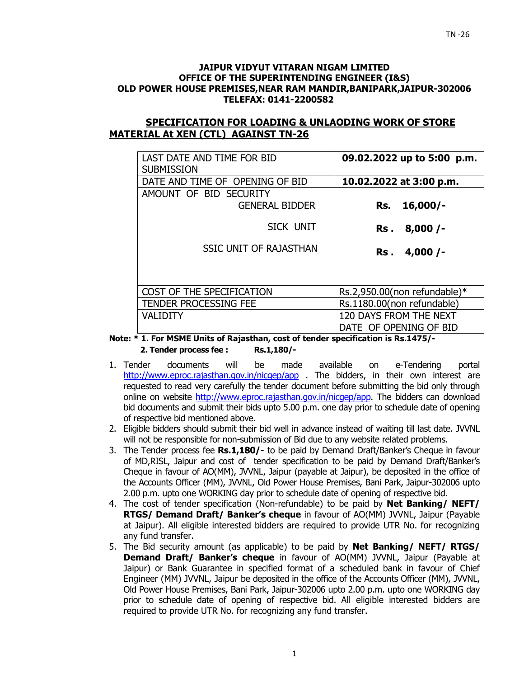#### **JAIPUR VIDYUT VITARAN NIGAM LIMITED OFFICE OF THE SUPERINTENDING ENGINEER (I&S) OLD POWER HOUSE PREMISES,NEAR RAM MANDIR,BANIPARK,JAIPUR-302006 TELEFAX: 0141-2200582**

## **SPECIFICATION FOR LOADING & UNLAODING WORK OF STORE MATERIAL At XEN (CTL) AGAINST TN-26**

| LAST DATE AND TIME FOR BID<br><b>SUBMISSION</b> | 09.02.2022 up to 5:00 p.m.   |
|-------------------------------------------------|------------------------------|
| DATE AND TIME OF OPENING OF BID                 | 10.02.2022 at 3:00 p.m.      |
| AMOUNT OF BID SECURITY                          |                              |
| <b>GENERAL BIDDER</b>                           | $16,000/-$<br>Rs.            |
| SICK UNIT                                       | 8,000/<br>Rs .               |
| <b>SSIC UNIT OF RAJASTHAN</b>                   | 4,000/<br>Rs .               |
|                                                 |                              |
| COST OF THE SPECIFICATION                       | Rs.2,950.00(non refundable)* |
| <b>TENDER PROCESSING FEE</b>                    | Rs.1180.00(non refundable)   |
| <b>VALIDITY</b>                                 | 120 DAYS FROM THE NEXT       |
|                                                 | DATE OF OPENING OF BID       |

**Note: \* 1. For MSME Units of Rajasthan, cost of tender specification is Rs.1475/- 2. Tender process fee : Rs.1,180/-** 

- 1. Tender documents will be made available on e-Tendering portal http://www.eproc.rajasthan.gov.in/nicgep/app . The bidders, in their own interest are requested to read very carefully the tender document before submitting the bid only through online on website http://www.eproc.rajasthan.gov.in/nicgep/app. The bidders can download bid documents and submit their bids upto 5.00 p.m. one day prior to schedule date of opening of respective bid mentioned above.
- 2. Eligible bidders should submit their bid well in advance instead of waiting till last date. JVVNL will not be responsible for non-submission of Bid due to any website related problems.
- 3. The Tender process fee **Rs.1,180/-** to be paid by Demand Draft/Banker's Cheque in favour of MD,RISL, Jaipur and cost of tender specification to be paid by Demand Draft/Banker's Cheque in favour of AO(MM), JVVNL, Jaipur (payable at Jaipur), be deposited in the office of the Accounts Officer (MM), JVVNL, Old Power House Premises, Bani Park, Jaipur-302006 upto 2.00 p.m. upto one WORKING day prior to schedule date of opening of respective bid.
- 4. The cost of tender specification (Non-refundable) to be paid by **Net Banking/ NEFT/ RTGS/ Demand Draft/ Banker's cheque** in favour of AO(MM) JVVNL, Jaipur (Payable at Jaipur). All eligible interested bidders are required to provide UTR No. for recognizing any fund transfer.
- 5. The Bid security amount (as applicable) to be paid by **Net Banking/ NEFT/ RTGS/ Demand Draft/ Banker's cheque** in favour of AO(MM) JVVNL, Jaipur (Payable at Jaipur) or Bank Guarantee in specified format of a scheduled bank in favour of Chief Engineer (MM) JVVNL, Jaipur be deposited in the office of the Accounts Officer (MM), JVVNL, Old Power House Premises, Bani Park, Jaipur-302006 upto 2.00 p.m. upto one WORKING day prior to schedule date of opening of respective bid. All eligible interested bidders are required to provide UTR No. for recognizing any fund transfer.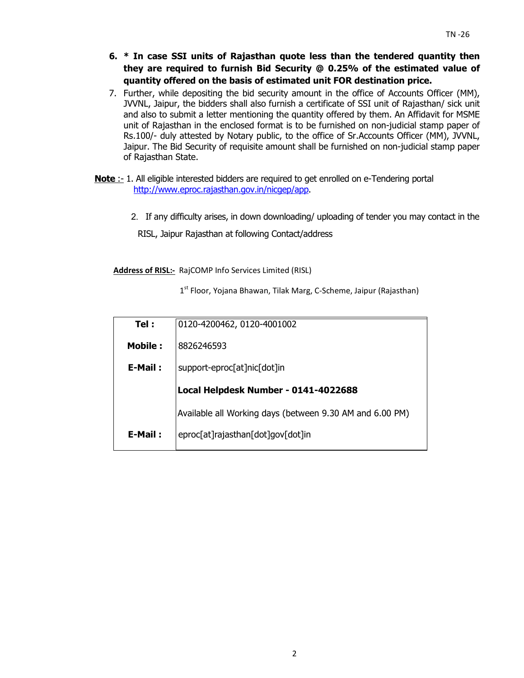- **6. \* In case SSI units of Rajasthan quote less than the tendered quantity then they are required to furnish Bid Security @ 0.25% of the estimated value of quantity offered on the basis of estimated unit FOR destination price.**
- 7. Further, while depositing the bid security amount in the office of Accounts Officer (MM), JVVNL, Jaipur, the bidders shall also furnish a certificate of SSI unit of Rajasthan/ sick unit and also to submit a letter mentioning the quantity offered by them. An Affidavit for MSME unit of Rajasthan in the enclosed format is to be furnished on non-judicial stamp paper of Rs.100/- duly attested by Notary public, to the office of Sr.Accounts Officer (MM), JVVNL, Jaipur. The Bid Security of requisite amount shall be furnished on non-judicial stamp paper of Rajasthan State.
- **Note** :- 1. All eligible interested bidders are required to get enrolled on e-Tendering portal http://www.eproc.rajasthan.gov.in/nicgep/app.
	- 2.If any difficulty arises, in down downloading/ uploading of tender you may contact in the

RISL, Jaipur Rajasthan at following Contact/address

**Address of RISL:-** RajCOMP Info Services Limited (RISL)

1<sup>st</sup> Floor, Yojana Bhawan, Tilak Marg, C-Scheme, Jaipur (Rajasthan)

| Tel:           | 0120-4200462, 0120-4001002                               |
|----------------|----------------------------------------------------------|
| <b>Mobile:</b> | 8826246593                                               |
| E-Mail:        | support-eproc[at]nic[dot]in                              |
|                | Local Helpdesk Number - 0141-4022688                     |
|                | Available all Working days (between 9.30 AM and 6.00 PM) |
| E-Mail:        | eproc[at]rajasthan[dot]gov[dot]in                        |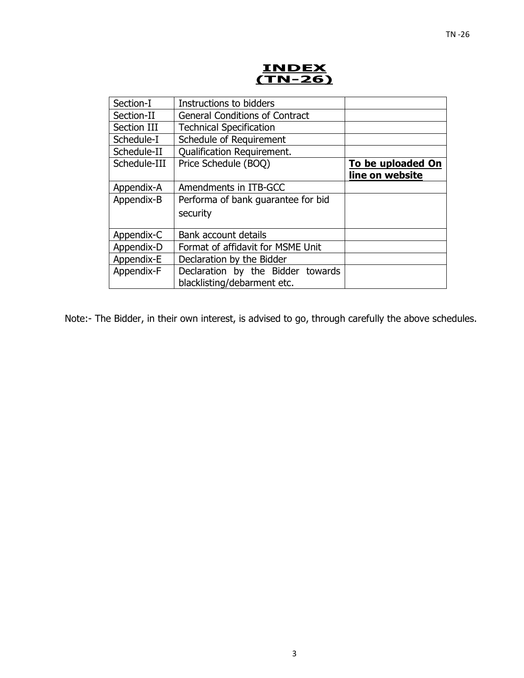# **INDEX (TN-26)**

| Section-I    | Instructions to bidders                                          |                                             |
|--------------|------------------------------------------------------------------|---------------------------------------------|
| Section-II   | <b>General Conditions of Contract</b>                            |                                             |
| Section III  | <b>Technical Specification</b>                                   |                                             |
| Schedule-I   | Schedule of Requirement                                          |                                             |
| Schedule-II  | <b>Qualification Requirement.</b>                                |                                             |
| Schedule-III | Price Schedule (BOQ)                                             | <b>To be uploaded On</b><br>line on website |
| Appendix-A   | Amendments in ITB-GCC                                            |                                             |
| Appendix-B   | Performa of bank guarantee for bid<br>security                   |                                             |
| Appendix-C   | Bank account details                                             |                                             |
| Appendix-D   | Format of affidavit for MSME Unit                                |                                             |
| Appendix-E   | Declaration by the Bidder                                        |                                             |
| Appendix-F   | Declaration by the Bidder towards<br>blacklisting/debarment etc. |                                             |

Note:- The Bidder, in their own interest, is advised to go, through carefully the above schedules.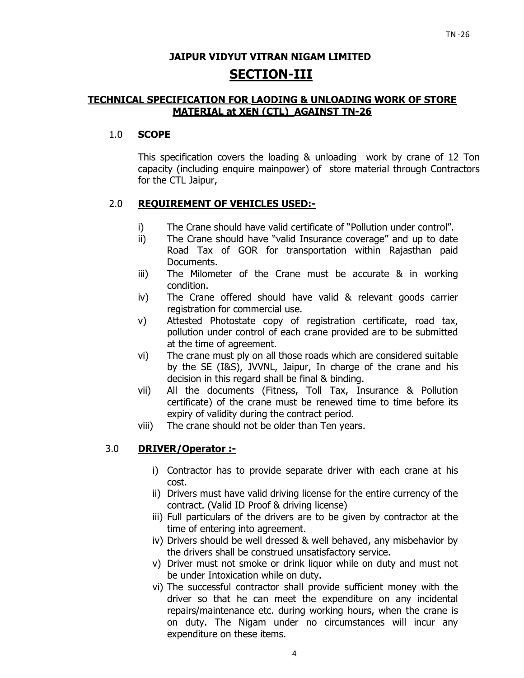## **JAIPUR VIDYUT VITRAN NIGAM LIMITED SECTION-III**

## **TECHNICAL SPECIFICATION FOR LAODING & UNLOADING WORK OF STORE MATERIAL at XEN (CTL) AGAINST TN-26**

## 1.0 **SCOPE**

This specification covers the loading & unloading work by crane of 12 Ton capacity (including enquire mainpower) of store material through Contractors for the CTL Jaipur,

## 2.0 **REQUIREMENT OF VEHICLES USED:-**

- i) The Crane should have valid certificate of "Pollution under control".
- ii) The Crane should have "valid Insurance coverage" and up to date Road Tax of GOR for transportation within Rajasthan paid Documents.
- iii) The Milometer of the Crane must be accurate & in working condition.
- iv) The Crane offered should have valid & relevant goods carrier registration for commercial use.
- v) Attested Photostate copy of registration certificate, road tax, pollution under control of each crane provided are to be submitted at the time of agreement.
- vi) The crane must ply on all those roads which are considered suitable by the SE (I&S), JVVNL, Jaipur, In charge of the crane and his decision in this regard shall be final & binding.
- vii) All the documents (Fitness, Toll Tax, Insurance & Pollution certificate) of the crane must be renewed time to time before its expiry of validity during the contract period.
- viii) The crane should not be older than Ten years.

## 3.0 **DRIVER/Operator :-**

- i) Contractor has to provide separate driver with each crane at his cost.
- ii) Drivers must have valid driving license for the entire currency of the contract. (Valid ID Proof & driving license)
- iii) Full particulars of the drivers are to be given by contractor at the time of entering into agreement.
- iv) Drivers should be well dressed & well behaved, any misbehavior by the drivers shall be construed unsatisfactory service.
- v) Driver must not smoke or drink liquor while on duty and must not be under Intoxication while on duty.
- vi) The successful contractor shall provide sufficient money with the driver so that he can meet the expenditure on any incidental repairs/maintenance etc. during working hours, when the crane is on duty. The Nigam under no circumstances will incur any expenditure on these items.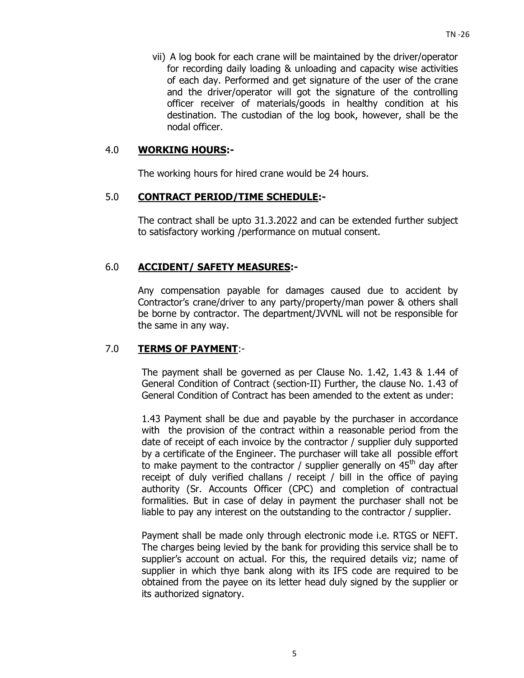vii) A log book for each crane will be maintained by the driver/operator for recording daily loading & unloading and capacity wise activities of each day. Performed and get signature of the user of the crane and the driver/operator will got the signature of the controlling officer receiver of materials/goods in healthy condition at his destination. The custodian of the log book, however, shall be the nodal officer.

## 4.0 **WORKING HOURS:-**

The working hours for hired crane would be 24 hours.

### 5.0 **CONTRACT PERIOD/TIME SCHEDULE:-**

The contract shall be upto 31.3.2022 and can be extended further subject to satisfactory working /performance on mutual consent.

## 6.0 **ACCIDENT/ SAFETY MEASURES:-**

Any compensation payable for damages caused due to accident by Contractor's crane/driver to any party/property/man power & others shall be borne by contractor. The department/JVVNL will not be responsible for the same in any way.

## 7.0 **TERMS OF PAYMENT**:-

The payment shall be governed as per Clause No. 1.42, 1.43 & 1.44 of General Condition of Contract (section-II) Further, the clause No. 1.43 of General Condition of Contract has been amended to the extent as under:

1.43 Payment shall be due and payable by the purchaser in accordance with the provision of the contract within a reasonable period from the date of receipt of each invoice by the contractor / supplier duly supported by a certificate of the Engineer. The purchaser will take all possible effort to make payment to the contractor / supplier generally on  $45<sup>th</sup>$  day after receipt of duly verified challans / receipt / bill in the office of paying authority (Sr. Accounts Officer (CPC) and completion of contractual formalities. But in case of delay in payment the purchaser shall not be liable to pay any interest on the outstanding to the contractor / supplier.

Payment shall be made only through electronic mode i.e. RTGS or NEFT. The charges being levied by the bank for providing this service shall be to supplier's account on actual. For this, the required details viz; name of supplier in which thye bank along with its IFS code are required to be obtained from the payee on its letter head duly signed by the supplier or its authorized signatory.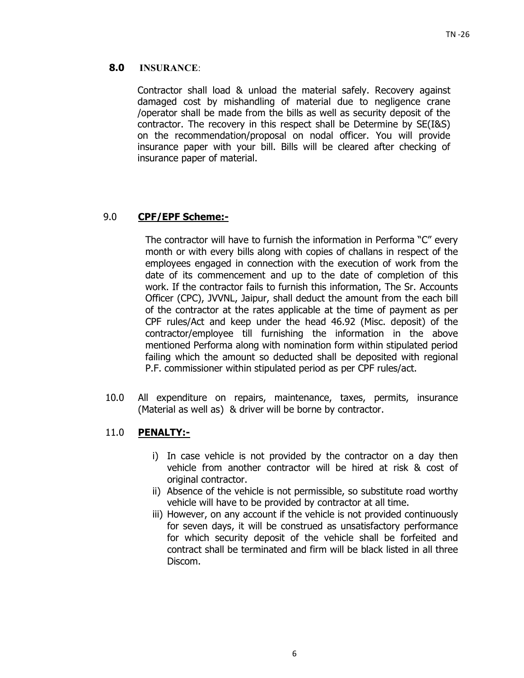## **8.0 INSURANCE**:

Contractor shall load & unload the material safely. Recovery against damaged cost by mishandling of material due to negligence crane /operator shall be made from the bills as well as security deposit of the contractor. The recovery in this respect shall be Determine by SE(I&S) on the recommendation/proposal on nodal officer. You will provide insurance paper with your bill. Bills will be cleared after checking of insurance paper of material.

## 9.0 **CPF/EPF Scheme:-**

The contractor will have to furnish the information in Performa "C" every month or with every bills along with copies of challans in respect of the employees engaged in connection with the execution of work from the date of its commencement and up to the date of completion of this work. If the contractor fails to furnish this information, The Sr. Accounts Officer (CPC), JVVNL, Jaipur, shall deduct the amount from the each bill of the contractor at the rates applicable at the time of payment as per CPF rules/Act and keep under the head 46.92 (Misc. deposit) of the contractor/employee till furnishing the information in the above mentioned Performa along with nomination form within stipulated period failing which the amount so deducted shall be deposited with regional P.F. commissioner within stipulated period as per CPF rules/act.

10.0 All expenditure on repairs, maintenance, taxes, permits, insurance (Material as well as) & driver will be borne by contractor.

## 11.0 **PENALTY:-**

- i) In case vehicle is not provided by the contractor on a day then vehicle from another contractor will be hired at risk & cost of original contractor.
- ii) Absence of the vehicle is not permissible, so substitute road worthy vehicle will have to be provided by contractor at all time.
- iii) However, on any account if the vehicle is not provided continuously for seven days, it will be construed as unsatisfactory performance for which security deposit of the vehicle shall be forfeited and contract shall be terminated and firm will be black listed in all three Discom.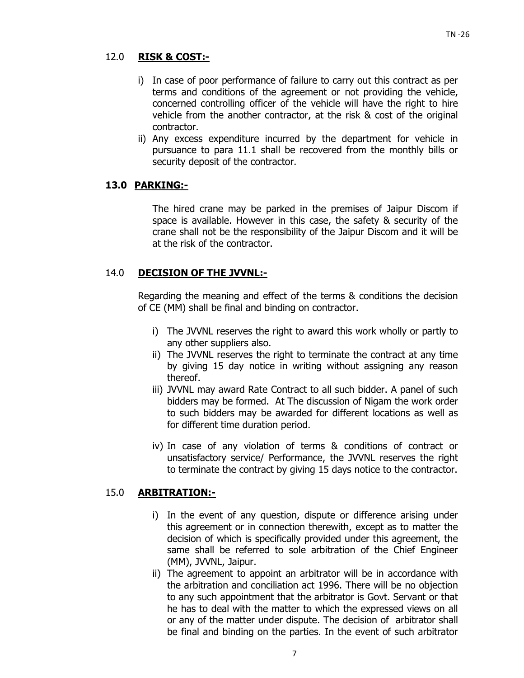## 12.0 **RISK & COST:-**

- i) In case of poor performance of failure to carry out this contract as per terms and conditions of the agreement or not providing the vehicle, concerned controlling officer of the vehicle will have the right to hire vehicle from the another contractor, at the risk & cost of the original contractor.
- ii) Any excess expenditure incurred by the department for vehicle in pursuance to para 11.1 shall be recovered from the monthly bills or security deposit of the contractor.

## **13.0 PARKING:-**

The hired crane may be parked in the premises of Jaipur Discom if space is available. However in this case, the safety & security of the crane shall not be the responsibility of the Jaipur Discom and it will be at the risk of the contractor.

## 14.0 **DECISION OF THE JVVNL:-**

Regarding the meaning and effect of the terms & conditions the decision of CE (MM) shall be final and binding on contractor.

- i) The JVVNL reserves the right to award this work wholly or partly to any other suppliers also.
- ii) The JVVNL reserves the right to terminate the contract at any time by giving 15 day notice in writing without assigning any reason thereof.
- iii) JVVNL may award Rate Contract to all such bidder. A panel of such bidders may be formed. At The discussion of Nigam the work order to such bidders may be awarded for different locations as well as for different time duration period.
- iv) In case of any violation of terms & conditions of contract or unsatisfactory service/ Performance, the JVVNL reserves the right to terminate the contract by giving 15 days notice to the contractor.

## 15.0 **ARBITRATION:-**

- i) In the event of any question, dispute or difference arising under this agreement or in connection therewith, except as to matter the decision of which is specifically provided under this agreement, the same shall be referred to sole arbitration of the Chief Engineer (MM), JVVNL, Jaipur.
- ii) The agreement to appoint an arbitrator will be in accordance with the arbitration and conciliation act 1996. There will be no objection to any such appointment that the arbitrator is Govt. Servant or that he has to deal with the matter to which the expressed views on all or any of the matter under dispute. The decision of arbitrator shall be final and binding on the parties. In the event of such arbitrator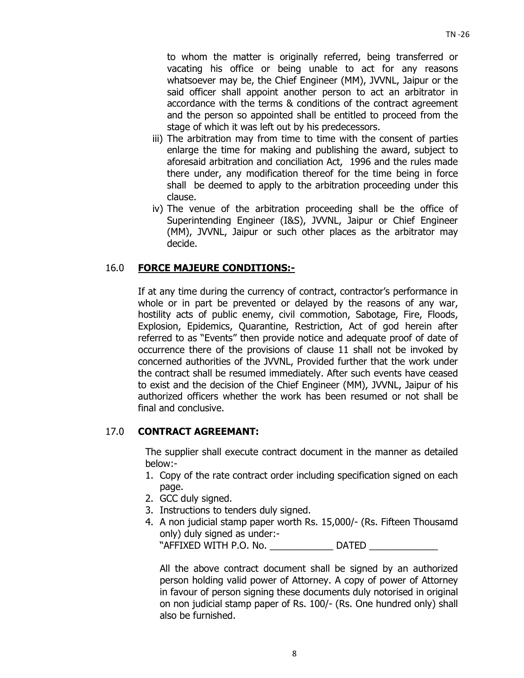to whom the matter is originally referred, being transferred or vacating his office or being unable to act for any reasons whatsoever may be, the Chief Engineer (MM), JVVNL, Jaipur or the said officer shall appoint another person to act an arbitrator in accordance with the terms & conditions of the contract agreement and the person so appointed shall be entitled to proceed from the stage of which it was left out by his predecessors.

- iii) The arbitration may from time to time with the consent of parties enlarge the time for making and publishing the award, subject to aforesaid arbitration and conciliation Act, 1996 and the rules made there under, any modification thereof for the time being in force shall be deemed to apply to the arbitration proceeding under this clause.
- iv) The venue of the arbitration proceeding shall be the office of Superintending Engineer (I&S), JVVNL, Jaipur or Chief Engineer (MM), JVVNL, Jaipur or such other places as the arbitrator may decide.

## 16.0 **FORCE MAJEURE CONDITIONS:-**

 If at any time during the currency of contract, contractor's performance in whole or in part be prevented or delayed by the reasons of any war, hostility acts of public enemy, civil commotion, Sabotage, Fire, Floods, Explosion, Epidemics, Quarantine, Restriction, Act of god herein after referred to as "Events" then provide notice and adequate proof of date of occurrence there of the provisions of clause 11 shall not be invoked by concerned authorities of the JVVNL, Provided further that the work under the contract shall be resumed immediately. After such events have ceased to exist and the decision of the Chief Engineer (MM), JVVNL, Jaipur of his authorized officers whether the work has been resumed or not shall be final and conclusive.

## 17.0 **CONTRACT AGREEMANT:**

The supplier shall execute contract document in the manner as detailed below:-

- 1. Copy of the rate contract order including specification signed on each page.
- 2. GCC duly signed.
- 3. Instructions to tenders duly signed.
- 4. A non judicial stamp paper worth Rs. 15,000/- (Rs. Fifteen Thousamd only) duly signed as under:- "AFFIXED WITH P.O. No. \_\_\_\_\_\_\_\_\_\_\_\_ DATED \_\_\_\_\_\_\_\_\_\_\_\_\_

All the above contract document shall be signed by an authorized person holding valid power of Attorney. A copy of power of Attorney in favour of person signing these documents duly notorised in original on non judicial stamp paper of Rs. 100/- (Rs. One hundred only) shall also be furnished.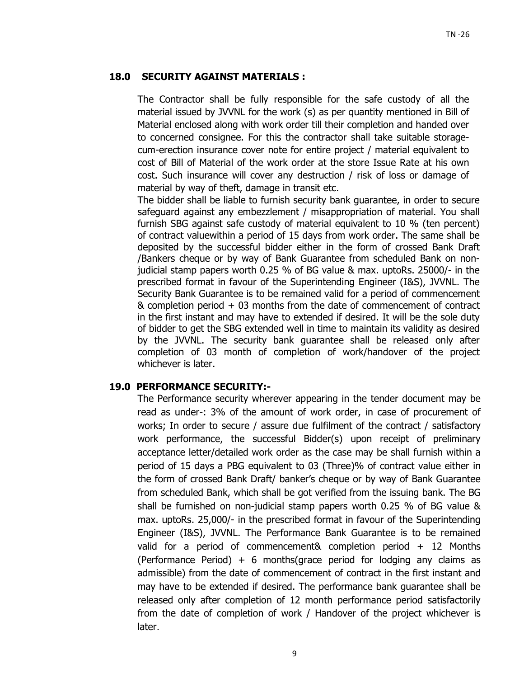## **18.0 SECURITY AGAINST MATERIALS :**

The Contractor shall be fully responsible for the safe custody of all the material issued by JVVNL for the work (s) as per quantity mentioned in Bill of Material enclosed along with work order till their completion and handed over to concerned consignee. For this the contractor shall take suitable storagecum-erection insurance cover note for entire project / material equivalent to cost of Bill of Material of the work order at the store Issue Rate at his own cost. Such insurance will cover any destruction / risk of loss or damage of material by way of theft, damage in transit etc.

The bidder shall be liable to furnish security bank guarantee, in order to secure safeguard against any embezzlement / misappropriation of material. You shall furnish SBG against safe custody of material equivalent to 10 % (ten percent) of contract valuewithin a period of 15 days from work order. The same shall be deposited by the successful bidder either in the form of crossed Bank Draft /Bankers cheque or by way of Bank Guarantee from scheduled Bank on nonjudicial stamp papers worth 0.25 % of BG value & max. uptoRs. 25000/- in the prescribed format in favour of the Superintending Engineer (I&S), JVVNL. The Security Bank Guarantee is to be remained valid for a period of commencement & completion period + 03 months from the date of commencement of contract in the first instant and may have to extended if desired. It will be the sole duty of bidder to get the SBG extended well in time to maintain its validity as desired by the JVVNL. The security bank guarantee shall be released only after completion of 03 month of completion of work/handover of the project whichever is later.

## **19.0 PERFORMANCE SECURITY:-**

The Performance security wherever appearing in the tender document may be read as under-: 3% of the amount of work order, in case of procurement of works; In order to secure / assure due fulfilment of the contract / satisfactory work performance, the successful Bidder(s) upon receipt of preliminary acceptance letter/detailed work order as the case may be shall furnish within a period of 15 days a PBG equivalent to 03 (Three)% of contract value either in the form of crossed Bank Draft/ banker's cheque or by way of Bank Guarantee from scheduled Bank, which shall be got verified from the issuing bank. The BG shall be furnished on non-judicial stamp papers worth 0.25 % of BG value & max. uptoRs. 25,000/- in the prescribed format in favour of the Superintending Engineer (I&S), JVVNL. The Performance Bank Guarantee is to be remained valid for a period of commencement& completion period + 12 Months (Performance Period)  $+ 6$  months(grace period for lodging any claims as admissible) from the date of commencement of contract in the first instant and may have to be extended if desired. The performance bank guarantee shall be released only after completion of 12 month performance period satisfactorily from the date of completion of work / Handover of the project whichever is later.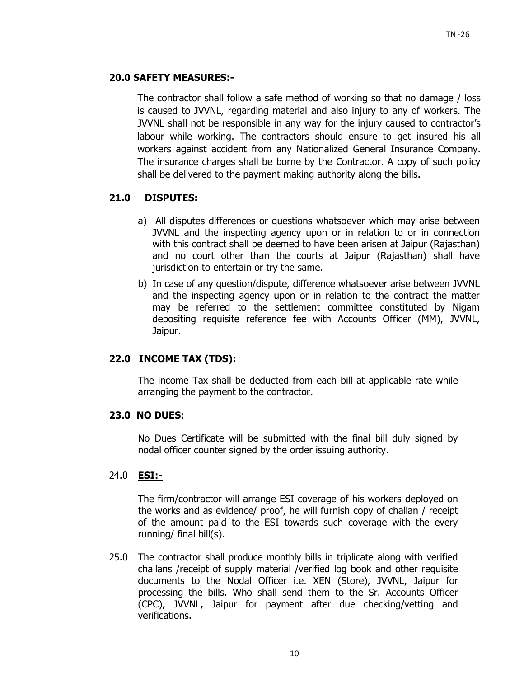## **20.0 SAFETY MEASURES:-**

The contractor shall follow a safe method of working so that no damage / loss is caused to JVVNL, regarding material and also injury to any of workers. The JVVNL shall not be responsible in any way for the injury caused to contractor's labour while working. The contractors should ensure to get insured his all workers against accident from any Nationalized General Insurance Company. The insurance charges shall be borne by the Contractor. A copy of such policy shall be delivered to the payment making authority along the bills.

## **21.0 DISPUTES:**

- a) All disputes differences or questions whatsoever which may arise between JVVNL and the inspecting agency upon or in relation to or in connection with this contract shall be deemed to have been arisen at Jaipur (Rajasthan) and no court other than the courts at Jaipur (Rajasthan) shall have jurisdiction to entertain or try the same.
- b) In case of any question/dispute, difference whatsoever arise between JVVNL and the inspecting agency upon or in relation to the contract the matter may be referred to the settlement committee constituted by Nigam depositing requisite reference fee with Accounts Officer (MM), JVVNL, Jaipur.

## **22.0 INCOME TAX (TDS):**

The income Tax shall be deducted from each bill at applicable rate while arranging the payment to the contractor.

## **23.0 NO DUES:**

No Dues Certificate will be submitted with the final bill duly signed by nodal officer counter signed by the order issuing authority.

## 24.0 **ESI:-**

The firm/contractor will arrange ESI coverage of his workers deployed on the works and as evidence/ proof, he will furnish copy of challan / receipt of the amount paid to the ESI towards such coverage with the every running/ final bill(s).

25.0 The contractor shall produce monthly bills in triplicate along with verified challans /receipt of supply material /verified log book and other requisite documents to the Nodal Officer i.e. XEN (Store), JVVNL, Jaipur for processing the bills. Who shall send them to the Sr. Accounts Officer (CPC), JVVNL, Jaipur for payment after due checking/vetting and verifications.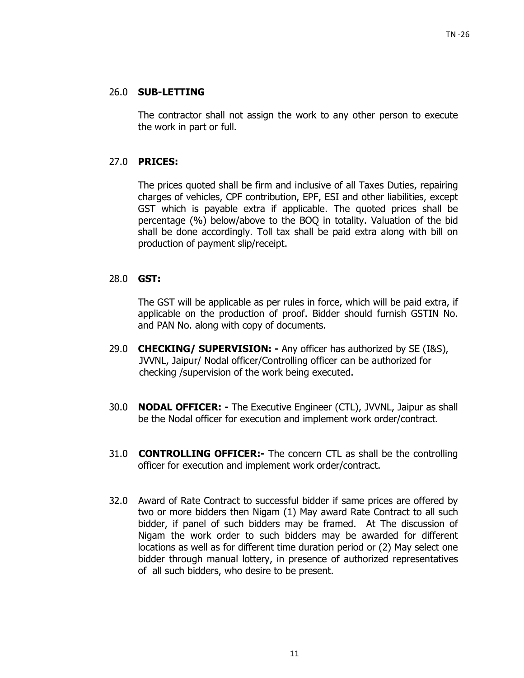## 26.0 **SUB-LETTING**

 The contractor shall not assign the work to any other person to execute the work in part or full.

## 27.0 **PRICES:**

 The prices quoted shall be firm and inclusive of all Taxes Duties, repairing charges of vehicles, CPF contribution, EPF, ESI and other liabilities, except GST which is payable extra if applicable. The quoted prices shall be percentage (%) below/above to the BOQ in totality. Valuation of the bid shall be done accordingly. Toll tax shall be paid extra along with bill on production of payment slip/receipt.

## 28.0 **GST:**

The GST will be applicable as per rules in force, which will be paid extra, if applicable on the production of proof. Bidder should furnish GSTIN No. and PAN No. along with copy of documents.

- 29.0 **CHECKING/ SUPERVISION:** Any officer has authorized by SE (I&S), JVVNL, Jaipur/ Nodal officer/Controlling officer can be authorized for checking /supervision of the work being executed.
- 30.0 **NODAL OFFICER:** The Executive Engineer (CTL), JVVNL, Jaipur as shall be the Nodal officer for execution and implement work order/contract.
- 31.0 **CONTROLLING OFFICER:-** The concern CTL as shall be the controlling officer for execution and implement work order/contract.
- 32.0Award of Rate Contract to successful bidder if same prices are offered by two or more bidders then Nigam (1) May award Rate Contract to all such bidder, if panel of such bidders may be framed. At The discussion of Nigam the work order to such bidders may be awarded for different locations as well as for different time duration period or (2) May select one bidder through manual lottery, in presence of authorized representatives of all such bidders, who desire to be present.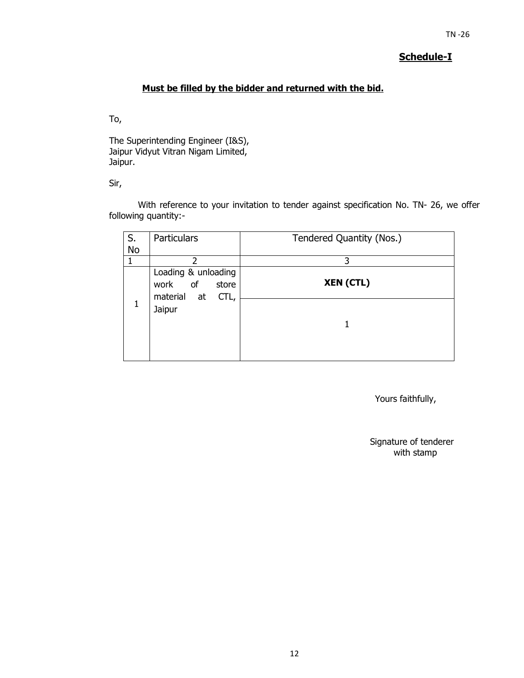## **Schedule-I**

## **Must be filled by the bidder and returned with the bid.**

To,

The Superintending Engineer (I&S), Jaipur Vidyut Vitran Nigam Limited, Jaipur.

Sir,

With reference to your invitation to tender against specification No. TN- 26, we offer following quantity:-

| S.        | <b>Particulars</b>                                                | Tendered Quantity (Nos.) |
|-----------|-------------------------------------------------------------------|--------------------------|
| <b>No</b> |                                                                   |                          |
|           | 2                                                                 | 3                        |
|           | Loading & unloading<br>of<br>work<br>store<br>material at<br>CTL, | <b>XEN (CTL)</b>         |
| 1         | Jaipur                                                            |                          |
|           |                                                                   |                          |

Yours faithfully,

Signature of tenderer with stamp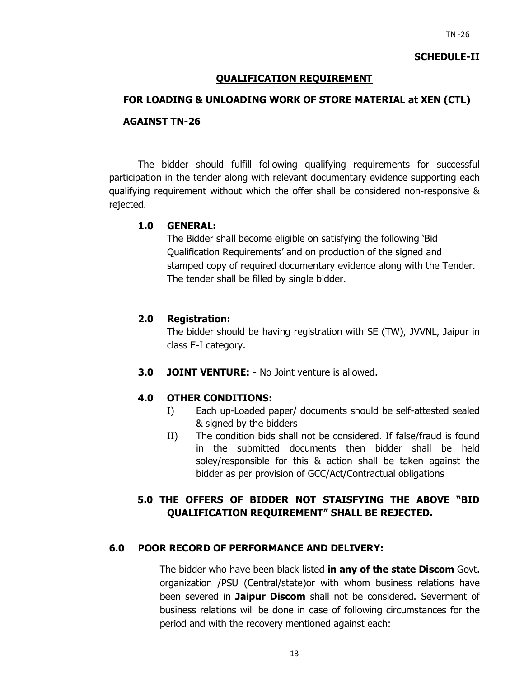### **SCHEDULE-II**

## **QUALIFICATION REQUIREMENT**

#### **FOR LOADING & UNLOADING WORK OF STORE MATERIAL at XEN (CTL)**

#### **AGAINST TN-26**

The bidder should fulfill following qualifying requirements for successful participation in the tender along with relevant documentary evidence supporting each qualifying requirement without which the offer shall be considered non-responsive & rejected.

## **1.0 GENERAL:**

The Bidder shall become eligible on satisfying the following 'Bid Qualification Requirements' and on production of the signed and stamped copy of required documentary evidence along with the Tender. The tender shall be filled by single bidder.

#### **2.0 Registration:**

The bidder should be having registration with SE (TW), JVVNL, Jaipur in class E-I category.

**3.0 JOINT VENTURE: -** No Joint venture is allowed.

#### **4.0 OTHER CONDITIONS:**

- I) Each up-Loaded paper/ documents should be self-attested sealed & signed by the bidders
- II) The condition bids shall not be considered. If false/fraud is found in the submitted documents then bidder shall be held soley/responsible for this & action shall be taken against the bidder as per provision of GCC/Act/Contractual obligations

## **5.0 THE OFFERS OF BIDDER NOT STAISFYING THE ABOVE "BID QUALIFICATION REQUIREMENT" SHALL BE REJECTED.**

## **6.0 POOR RECORD OF PERFORMANCE AND DELIVERY:**

The bidder who have been black listed **in any of the state Discom** Govt. organization /PSU (Central/state)or with whom business relations have been severed in **Jaipur Discom** shall not be considered. Severment of business relations will be done in case of following circumstances for the period and with the recovery mentioned against each: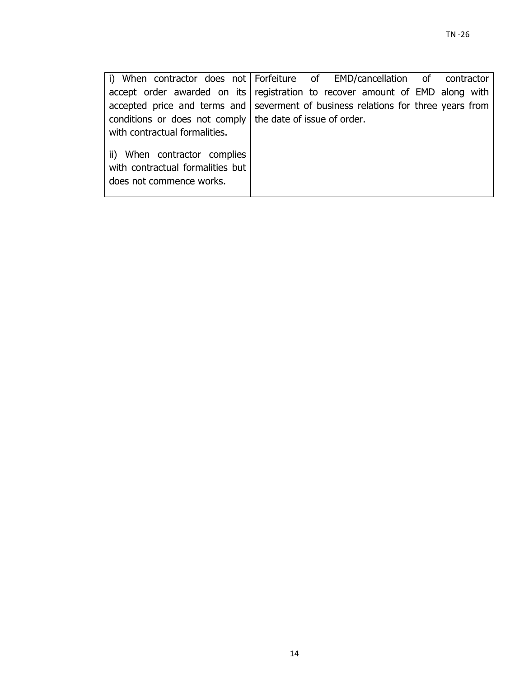| i) When contractor does not Forfeiture of EMD/cancellation of contractor          |  |  |  |  |
|-----------------------------------------------------------------------------------|--|--|--|--|
| accept order awarded on its registration to recover amount of EMD along with      |  |  |  |  |
| accepted price and terms and severment of business relations for three years from |  |  |  |  |
| conditions or does not comply the date of issue of order.                         |  |  |  |  |
| with contractual formalities.                                                     |  |  |  |  |
|                                                                                   |  |  |  |  |
| ii) When contractor complies                                                      |  |  |  |  |
| with contractual formalities but                                                  |  |  |  |  |
| does not commence works.                                                          |  |  |  |  |
|                                                                                   |  |  |  |  |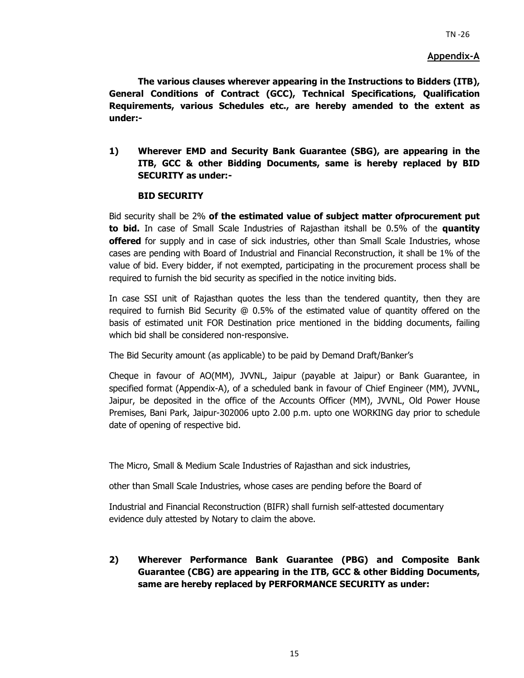#### **Appendix-A**

**The various clauses wherever appearing in the Instructions to Bidders (ITB), General Conditions of Contract (GCC), Technical Specifications, Qualification Requirements, various Schedules etc., are hereby amended to the extent as under:-** 

**1) Wherever EMD and Security Bank Guarantee (SBG), are appearing in the ITB, GCC & other Bidding Documents, same is hereby replaced by BID SECURITY as under:-** 

#### **BID SECURITY**

Bid security shall be 2% **of the estimated value of subject matter ofprocurement put to bid.** In case of Small Scale Industries of Rajasthan itshall be 0.5% of the **quantity offered** for supply and in case of sick industries, other than Small Scale Industries, whose cases are pending with Board of Industrial and Financial Reconstruction, it shall be 1% of the value of bid. Every bidder, if not exempted, participating in the procurement process shall be required to furnish the bid security as specified in the notice inviting bids.

In case SSI unit of Rajasthan quotes the less than the tendered quantity, then they are required to furnish Bid Security @ 0.5% of the estimated value of quantity offered on the basis of estimated unit FOR Destination price mentioned in the bidding documents, failing which bid shall be considered non-responsive.

The Bid Security amount (as applicable) to be paid by Demand Draft/Banker's

Cheque in favour of AO(MM), JVVNL, Jaipur (payable at Jaipur) or Bank Guarantee, in specified format (Appendix-A), of a scheduled bank in favour of Chief Engineer (MM), JVVNL, Jaipur, be deposited in the office of the Accounts Officer (MM), JVVNL, Old Power House Premises, Bani Park, Jaipur-302006 upto 2.00 p.m. upto one WORKING day prior to schedule date of opening of respective bid.

The Micro, Small & Medium Scale Industries of Rajasthan and sick industries,

other than Small Scale Industries, whose cases are pending before the Board of

Industrial and Financial Reconstruction (BIFR) shall furnish self-attested documentary evidence duly attested by Notary to claim the above.

**2) Wherever Performance Bank Guarantee (PBG) and Composite Bank Guarantee (CBG) are appearing in the ITB, GCC & other Bidding Documents, same are hereby replaced by PERFORMANCE SECURITY as under:**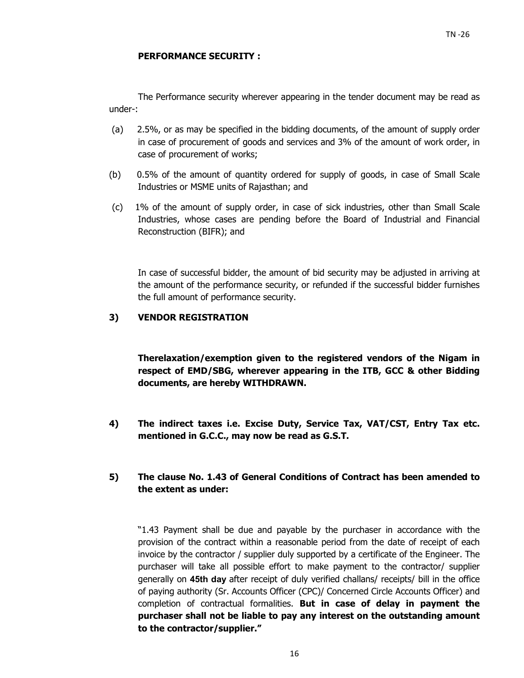#### **PERFORMANCE SECURITY :**

The Performance security wherever appearing in the tender document may be read as under-:

- (a) 2.5%, or as may be specified in the bidding documents, of the amount of supply order in case of procurement of goods and services and 3% of the amount of work order, in case of procurement of works;
- (b) 0.5% of the amount of quantity ordered for supply of goods, in case of Small Scale Industries or MSME units of Rajasthan; and
- (c) 1% of the amount of supply order, in case of sick industries, other than Small Scale Industries, whose cases are pending before the Board of Industrial and Financial Reconstruction (BIFR); and

In case of successful bidder, the amount of bid security may be adjusted in arriving at the amount of the performance security, or refunded if the successful bidder furnishes the full amount of performance security.

#### **3) VENDOR REGISTRATION**

**Therelaxation/exemption given to the registered vendors of the Nigam in respect of EMD/SBG, wherever appearing in the ITB, GCC & other Bidding documents, are hereby WITHDRAWN.** 

**4) The indirect taxes i.e. Excise Duty, Service Tax, VAT/CST, Entry Tax etc. mentioned in G.C.C., may now be read as G.S.T.** 

## **5) The clause No. 1.43 of General Conditions of Contract has been amended to the extent as under:**

"1.43 Payment shall be due and payable by the purchaser in accordance with the provision of the contract within a reasonable period from the date of receipt of each invoice by the contractor / supplier duly supported by a certificate of the Engineer. The purchaser will take all possible effort to make payment to the contractor/ supplier generally on **45th day** after receipt of duly verified challans/ receipts/ bill in the office of paying authority (Sr. Accounts Officer (CPC)/ Concerned Circle Accounts Officer) and completion of contractual formalities. **But in case of delay in payment the purchaser shall not be liable to pay any interest on the outstanding amount to the contractor/supplier."**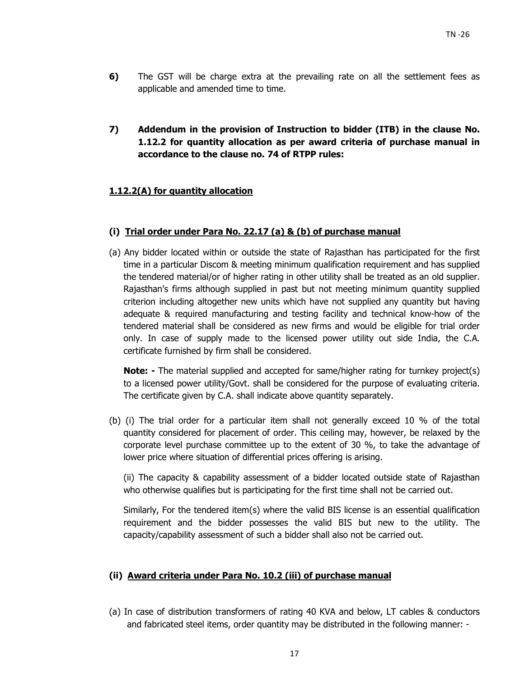- **6)** The GST will be charge extra at the prevailing rate on all the settlement fees as applicable and amended time to time.
- **7) Addendum in the provision of Instruction to bidder (ITB) in the clause No. 1.12.2 for quantity allocation as per award criteria of purchase manual in accordance to the clause no. 74 of RTPP rules:**

## **1.12.2(A) for quantity allocation**

### **(i) Trial order under Para No. 22.17 (a) & (b) of purchase manual**

(a) Any bidder located within or outside the state of Rajasthan has participated for the first time in a particular Discom & meeting minimum qualification requirement and has supplied the tendered material/or of higher rating in other utility shall be treated as an old supplier. Rajasthan's firms although supplied in past but not meeting minimum quantity supplied criterion including altogether new units which have not supplied any quantity but having adequate & required manufacturing and testing facility and technical know-how of the tendered material shall be considered as new firms and would be eligible for trial order only. In case of supply made to the licensed power utility out side India, the C.A. certificate furnished by firm shall be considered.

**Note:** - The material supplied and accepted for same/higher rating for turnkey project(s) to a licensed power utility/Govt. shall be considered for the purpose of evaluating criteria. The certificate given by C.A. shall indicate above quantity separately.

(b) (i) The trial order for a particular item shall not generally exceed 10 % of the total quantity considered for placement of order. This ceiling may, however, be relaxed by the corporate level purchase committee up to the extent of 30 %, to take the advantage of lower price where situation of differential prices offering is arising.

(ii) The capacity & capability assessment of a bidder located outside state of Rajasthan who otherwise qualifies but is participating for the first time shall not be carried out.

Similarly, For the tendered item(s) where the valid BIS license is an essential qualification requirement and the bidder possesses the valid BIS but new to the utility. The capacity/capability assessment of such a bidder shall also not be carried out.

## **(ii) Award criteria under Para No. 10.2 (iii) of purchase manual**

(a) In case of distribution transformers of rating 40 KVA and below, LT cables & conductors and fabricated steel items, order quantity may be distributed in the following manner: -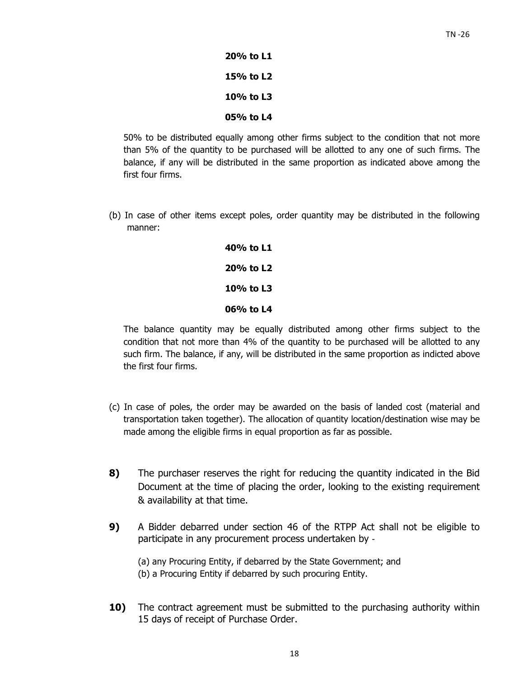**20% to L1 15% to L2 10% to L3 05% to L4** 

50% to be distributed equally among other firms subject to the condition that not more than 5% of the quantity to be purchased will be allotted to any one of such firms. The balance, if any will be distributed in the same proportion as indicated above among the first four firms.

(b) In case of other items except poles, order quantity may be distributed in the following manner:

> **40% to L1 20% to L2 10% to L3 06% to L4**

The balance quantity may be equally distributed among other firms subject to the condition that not more than 4% of the quantity to be purchased will be allotted to any such firm. The balance, if any, will be distributed in the same proportion as indicted above the first four firms.

- (c) In case of poles, the order may be awarded on the basis of landed cost (material and transportation taken together). The allocation of quantity location/destination wise may be made among the eligible firms in equal proportion as far as possible.
- **8)** The purchaser reserves the right for reducing the quantity indicated in the Bid Document at the time of placing the order, looking to the existing requirement & availability at that time.
- **9)** A Bidder debarred under section 46 of the RTPP Act shall not be eligible to participate in any procurement process undertaken by ‐

(a) any Procuring Entity, if debarred by the State Government; and (b) a Procuring Entity if debarred by such procuring Entity.

**10)** The contract agreement must be submitted to the purchasing authority within 15 days of receipt of Purchase Order.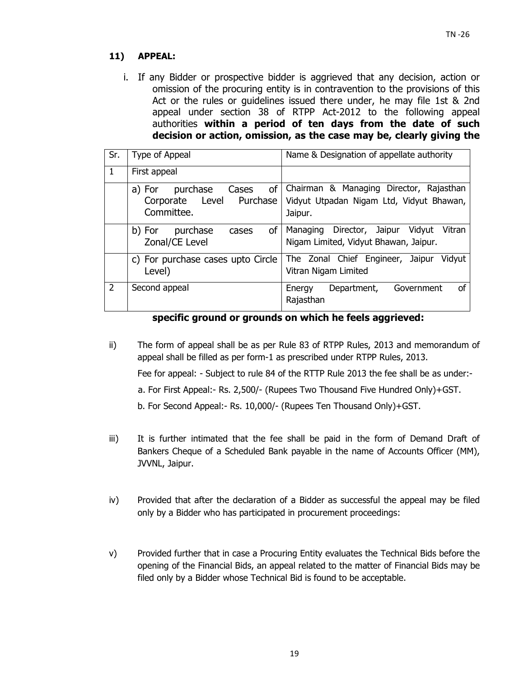## **11) APPEAL:**

i. If any Bidder or prospective bidder is aggrieved that any decision, action or omission of the procuring entity is in contravention to the provisions of this Act or the rules or guidelines issued there under, he may file 1st & 2nd appeal under section 38 of RTPP Act-2012 to the following appeal authorities **within a period of ten days from the date of such decision or action, omission, as the case may be, clearly giving the** 

| Sr.           | Type of Appeal                                                              | Name & Designation of appellate authority                                                      |
|---------------|-----------------------------------------------------------------------------|------------------------------------------------------------------------------------------------|
| 1             | First appeal                                                                |                                                                                                |
|               | of<br>purchase<br>Cases<br>a) For<br>Corporate Level Purchase<br>Committee. | Chairman & Managing Director, Rajasthan<br>Vidyut Utpadan Nigam Ltd, Vidyut Bhawan,<br>Jaipur. |
|               | <b>of</b><br>purchase<br>b) For<br>cases<br>Zonal/CE Level                  | Vitran<br>Director, Jaipur<br>Vidyut<br>Managing<br>Nigam Limited, Vidyut Bhawan, Jaipur.      |
|               | c) For purchase cases upto Circle<br>Level)                                 | The Zonal Chief Engineer, Jaipur<br>Vidyut<br>Vitran Nigam Limited                             |
| $\mathcal{P}$ | Second appeal                                                               | Government<br>Department,<br>οf<br>Energy<br>Rajasthan                                         |

## **specific ground or grounds on which he feels aggrieved:**

ii) The form of appeal shall be as per Rule 83 of RTPP Rules, 2013 and memorandum of appeal shall be filled as per form-1 as prescribed under RTPP Rules, 2013.

Fee for appeal: - Subject to rule 84 of the RTTP Rule 2013 the fee shall be as under:-

- a. For First Appeal:- Rs. 2,500/- (Rupees Two Thousand Five Hundred Only)+GST.
- b. For Second Appeal:- Rs. 10,000/- (Rupees Ten Thousand Only)+GST.
- iii) It is further intimated that the fee shall be paid in the form of Demand Draft of Bankers Cheque of a Scheduled Bank payable in the name of Accounts Officer (MM), JVVNL, Jaipur.
- iv) Provided that after the declaration of a Bidder as successful the appeal may be filed only by a Bidder who has participated in procurement proceedings:
- v) Provided further that in case a Procuring Entity evaluates the Technical Bids before the opening of the Financial Bids, an appeal related to the matter of Financial Bids may be filed only by a Bidder whose Technical Bid is found to be acceptable.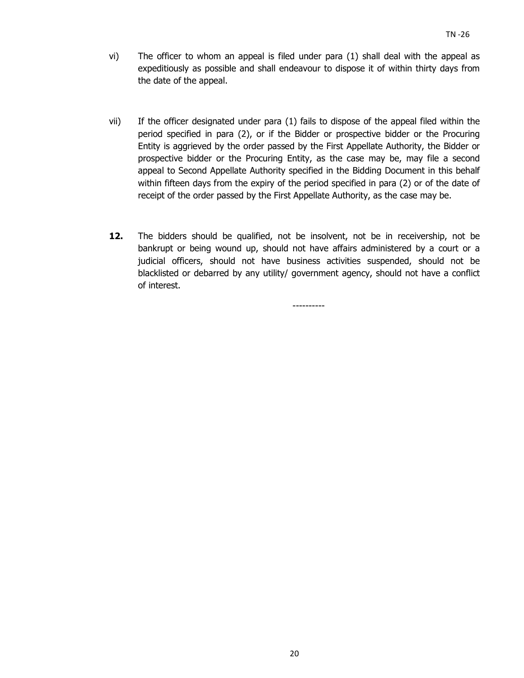- vi) The officer to whom an appeal is filed under para (1) shall deal with the appeal as expeditiously as possible and shall endeavour to dispose it of within thirty days from the date of the appeal.
- vii) If the officer designated under para (1) fails to dispose of the appeal filed within the period specified in para (2), or if the Bidder or prospective bidder or the Procuring Entity is aggrieved by the order passed by the First Appellate Authority, the Bidder or prospective bidder or the Procuring Entity, as the case may be, may file a second appeal to Second Appellate Authority specified in the Bidding Document in this behalf within fifteen days from the expiry of the period specified in para (2) or of the date of receipt of the order passed by the First Appellate Authority, as the case may be.
- **12.** The bidders should be qualified, not be insolvent, not be in receivership, not be bankrupt or being wound up, should not have affairs administered by a court or a judicial officers, should not have business activities suspended, should not be blacklisted or debarred by any utility/ government agency, should not have a conflict of interest.

----------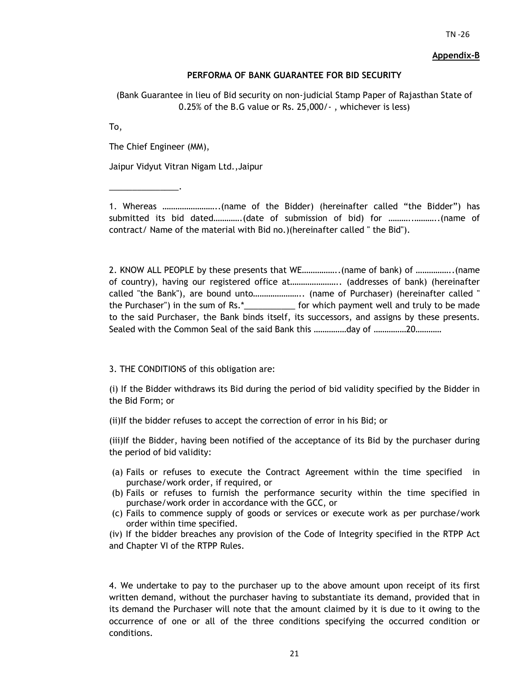#### **Appendix-B**

#### **PERFORMA OF BANK GUARANTEE FOR BID SECURITY**

(Bank Guarantee in lieu of Bid security on non-judicial Stamp Paper of Rajasthan State of 0.25% of the B.G value or Rs. 25,000/- , whichever is less)

To,

The Chief Engineer (MM),

\_\_\_\_\_\_\_\_\_\_\_\_\_\_\_.

Jaipur Vidyut Vitran Nigam Ltd.,Jaipur

1. Whereas ……………………..(name of the Bidder) (hereinafter called "the Bidder") has submitted its bid dated………….(date of submission of bid) for ………..………..(name of contract/ Name of the material with Bid no.)(hereinafter called " the Bid").

2. KNOW ALL PEOPLE by these presents that WE……………..(name of bank) of ……………..(name of country), having our registered office at………………….. (addresses of bank) (hereinafter called "the Bank"), are bound unto………………….. (name of Purchaser) (hereinafter called " the Purchaser") in the sum of Rs.\*\_\_\_\_\_\_\_\_\_\_\_ for which payment well and truly to be made to the said Purchaser, the Bank binds itself, its successors, and assigns by these presents. Sealed with the Common Seal of the said Bank this ……………day of ……………20…………

3. THE CONDITIONS of this obligation are:

(i) If the Bidder withdraws its Bid during the period of bid validity specified by the Bidder in the Bid Form; or

(ii)If the bidder refuses to accept the correction of error in his Bid; or

(iii)If the Bidder, having been notified of the acceptance of its Bid by the purchaser during the period of bid validity:

- (a) Fails or refuses to execute the Contract Agreement within the time specified in purchase/work order, if required, or
- (b) Fails or refuses to furnish the performance security within the time specified in purchase/work order in accordance with the GCC, or
- (c) Fails to commence supply of goods or services or execute work as per purchase/work order within time specified.

(iv) If the bidder breaches any provision of the Code of Integrity specified in the RTPP Act and Chapter VI of the RTPP Rules.

4. We undertake to pay to the purchaser up to the above amount upon receipt of its first written demand, without the purchaser having to substantiate its demand, provided that in its demand the Purchaser will note that the amount claimed by it is due to it owing to the occurrence of one or all of the three conditions specifying the occurred condition or conditions.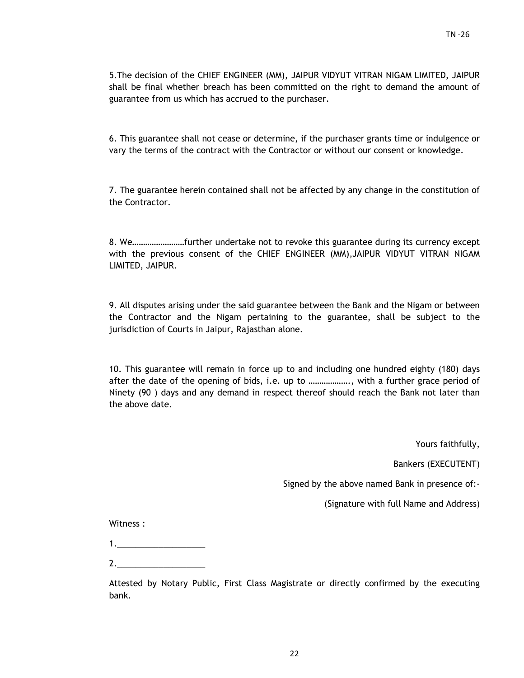5.The decision of the CHIEF ENGINEER (MM), JAIPUR VIDYUT VITRAN NIGAM LIMITED, JAIPUR shall be final whether breach has been committed on the right to demand the amount of guarantee from us which has accrued to the purchaser.

6. This guarantee shall not cease or determine, if the purchaser grants time or indulgence or vary the terms of the contract with the Contractor or without our consent or knowledge.

7. The guarantee herein contained shall not be affected by any change in the constitution of the Contractor.

8. We……………………further undertake not to revoke this guarantee during its currency except with the previous consent of the CHIEF ENGINEER (MM),JAIPUR VIDYUT VITRAN NIGAM LIMITED, JAIPUR.

9. All disputes arising under the said guarantee between the Bank and the Nigam or between the Contractor and the Nigam pertaining to the guarantee, shall be subject to the jurisdiction of Courts in Jaipur, Rajasthan alone.

10. This guarantee will remain in force up to and including one hundred eighty (180) days after the date of the opening of bids, i.e. up to ………………., with a further grace period of Ninety (90 ) days and any demand in respect thereof should reach the Bank not later than the above date.

Yours faithfully,

Bankers (EXECUTENT)

Signed by the above named Bank in presence of:-

(Signature with full Name and Address)

Witness :

2.\_\_\_\_\_\_\_\_\_\_\_\_\_\_\_\_\_\_\_

Attested by Notary Public, First Class Magistrate or directly confirmed by the executing bank.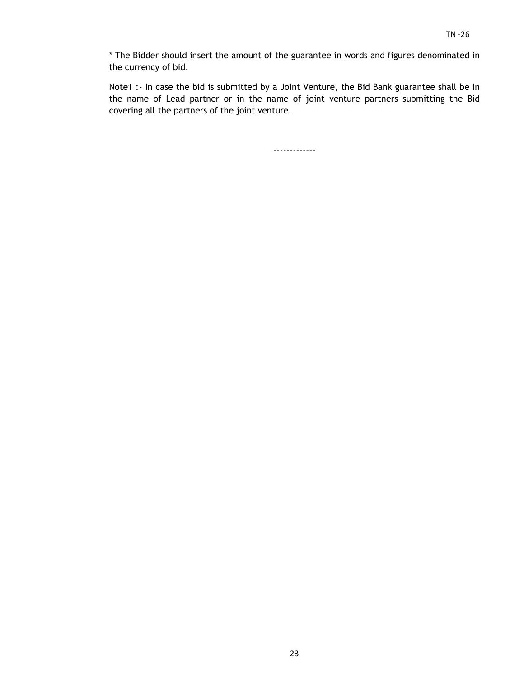\* The Bidder should insert the amount of the guarantee in words and figures denominated in the currency of bid.

Note1 :- In case the bid is submitted by a Joint Venture, the Bid Bank guarantee shall be in the name of Lead partner or in the name of joint venture partners submitting the Bid covering all the partners of the joint venture.

-------------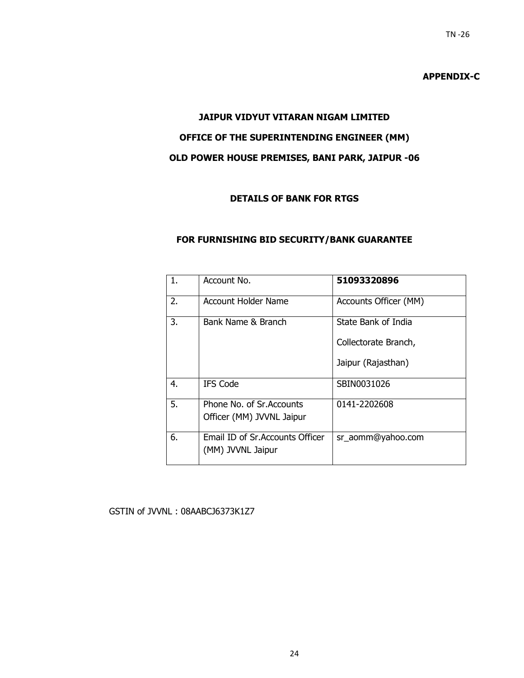## **APPENDIX-C**

# **JAIPUR VIDYUT VITARAN NIGAM LIMITED OFFICE OF THE SUPERINTENDING ENGINEER (MM) OLD POWER HOUSE PREMISES, BANI PARK, JAIPUR -06**

## **DETAILS OF BANK FOR RTGS**

#### **FOR FURNISHING BID SECURITY/BANK GUARANTEE**

| 1. | Account No.                                            | 51093320896           |
|----|--------------------------------------------------------|-----------------------|
| 2. | Account Holder Name                                    | Accounts Officer (MM) |
| 3. | Bank Name & Branch                                     | State Bank of India   |
|    |                                                        | Collectorate Branch,  |
|    |                                                        | Jaipur (Rajasthan)    |
| 4. | <b>IFS Code</b>                                        | SBIN0031026           |
| 5. | Phone No. of Sr. Accounts<br>Officer (MM) JVVNL Jaipur | 0141-2202608          |
|    |                                                        |                       |
| 6. | Email ID of Sr. Accounts Officer<br>(MM) JVVNL Jaipur  | sr_aomm@yahoo.com     |

#### GSTIN of JVVNL : 08AABCJ6373K1Z7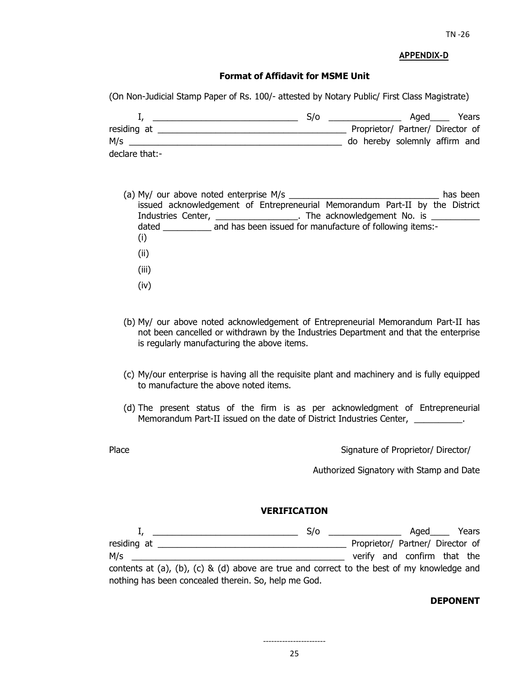#### **APPENDIX-D**

#### **Format of Affidavit for MSME Unit**

(On Non-Judicial Stamp Paper of Rs. 100/- attested by Notary Public/ First Class Magistrate)

|                | S/O |                                  | Aged | Years |
|----------------|-----|----------------------------------|------|-------|
| residing at    |     | Proprietor/ Partner/ Director of |      |       |
| M/s            |     | do hereby solemnly affirm and    |      |       |
| declare that:- |     |                                  |      |       |

- (a) My/ our above noted enterprise M/s  $\blacksquare$ issued acknowledgement of Entrepreneurial Memorandum Part-II by the District Industries Center, \_\_\_\_\_\_\_\_\_\_\_\_\_\_\_\_\_\_\_. The acknowledgement No. is \_ dated and has been issued for manufacture of following items:-(i) (ii) (iii) (iv)
- (b) My/ our above noted acknowledgement of Entrepreneurial Memorandum Part-II has not been cancelled or withdrawn by the Industries Department and that the enterprise is regularly manufacturing the above items.
- (c) My/our enterprise is having all the requisite plant and machinery and is fully equipped to manufacture the above noted items.
- (d) The present status of the firm is as per acknowledgment of Entrepreneurial Memorandum Part-II issued on the date of District Industries Center, \_\_\_\_\_\_\_\_\_\_.
- 

Place **Proprietor/** Director/ Director/ Director/ Director/ Director/ Director/ Director/ Director/ Director/ Director/ Director/ Director/ Director/ Director/ Director/ Director/ Director/ Director/ Director/ Director/ Di

Authorized Signatory with Stamp and Date

#### **VERIFICATION**

|                                                                                            | S/O | <u> 1980 - John Stein, amerikansk politiker</u> | $A$ qed $\_\_$                   | Years |
|--------------------------------------------------------------------------------------------|-----|-------------------------------------------------|----------------------------------|-------|
| residing at                                                                                |     |                                                 | Proprietor/ Partner/ Director of |       |
| M/s                                                                                        |     |                                                 | verify and confirm that the      |       |
| contents at (a), (b), (c) & (d) above are true and correct to the best of my knowledge and |     |                                                 |                                  |       |
| nothing has been concealed therein. So, help me God.                                       |     |                                                 |                                  |       |

#### **DEPONENT**

-----------------------

25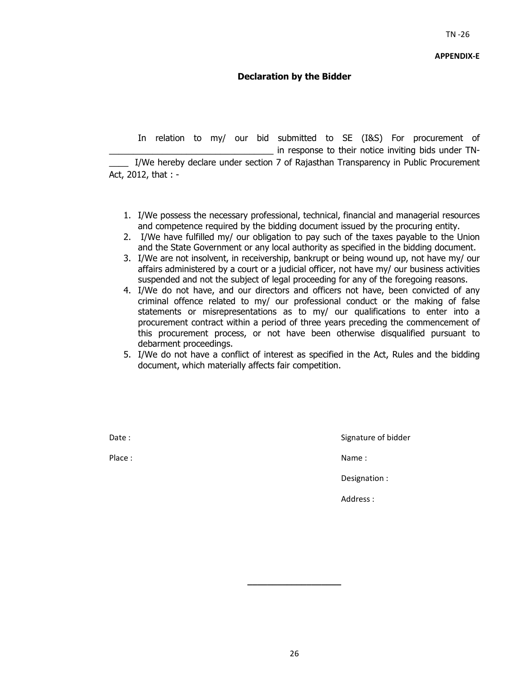## **Declaration by the Bidder**

 In relation to my/ our bid submitted to SE (I&S) For procurement of in response to their notice inviting bids under TN-I/We hereby declare under section 7 of Rajasthan Transparency in Public Procurement Act, 2012, that : -

- 1. I/We possess the necessary professional, technical, financial and managerial resources and competence required by the bidding document issued by the procuring entity.
- 2. I/We have fulfilled my/ our obligation to pay such of the taxes payable to the Union and the State Government or any local authority as specified in the bidding document.
- 3. I/We are not insolvent, in receivership, bankrupt or being wound up, not have my/ our affairs administered by a court or a judicial officer, not have my/ our business activities suspended and not the subject of legal proceeding for any of the foregoing reasons.
- 4. I/We do not have, and our directors and officers not have, been convicted of any criminal offence related to my/ our professional conduct or the making of false statements or misrepresentations as to my/ our qualifications to enter into a procurement contract within a period of three years preceding the commencement of this procurement process, or not have been otherwise disqualified pursuant to debarment proceedings.
- 5. I/We do not have a conflict of interest as specified in the Act, Rules and the bidding document, which materially affects fair competition.

Date : Signature of bidder

Place : Name : Name : Name : Name : Name : Name : Name : Name : Name : Name : Name : Name : Name : Name :  $\mathbb{R}^2$ 

Designation :

Address :

**\_\_\_\_\_\_\_\_\_\_\_\_\_\_\_\_\_\_\_**